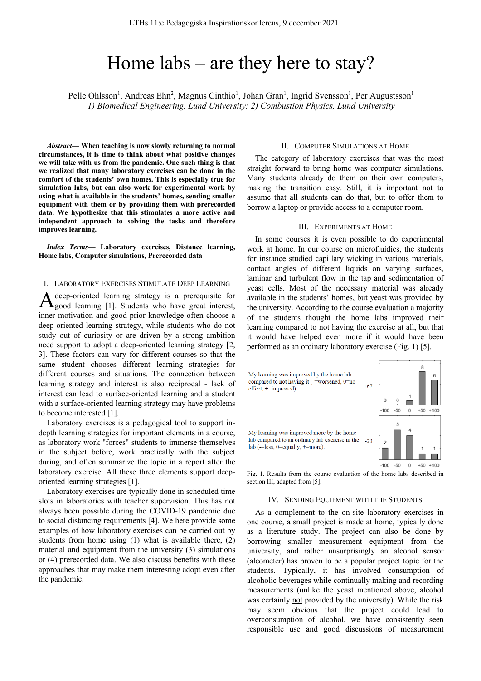# Home labs – are they here to stay?

Pelle Ohlsson<sup>1</sup>, Andreas Ehn<sup>2</sup>, Magnus Cinthio<sup>1</sup>, Johan Gran<sup>1</sup>, Ingrid Svensson<sup>1</sup>, Per Augustsson<sup>1</sup> *1) Biomedical Engineering, Lund University; 2) Combustion Physics, Lund University*

*Abstract***— When teaching is now slowly returning to normal circumstances, it is time to think about what positive changes we will take with us from the pandemic. One such thing is that we realized that many laboratory exercises can be done in the comfort of the students' own homes. This is especially true for simulation labs, but can also work for experimental work by using what is available in the students' homes, sending smaller equipment with them or by providing them with prerecorded data. We hypothesize that this stimulates a more active and independent approach to solving the tasks and therefore improves learning.**

*Index Terms***— Laboratory exercises, Distance learning, Home labs, Computer simulations, Prerecorded data**

## I. LABORATORY EXERCISES STIMULATE DEEP LEARNING

deep-oriented learning strategy is a prerequisite for A deep-oriented learning strategy is a prerequisite for good learning [1]. Students who have great interest, inner motivation and good prior knowledge often choose a deep-oriented learning strategy, while students who do not study out of curiosity or are driven by a strong ambition need support to adopt a deep-oriented learning strategy [2, 3]. These factors can vary for different courses so that the same student chooses different learning strategies for different courses and situations. The connection between learning strategy and interest is also reciprocal - lack of interest can lead to surface-oriented learning and a student with a surface-oriented learning strategy may have problems to become interested [1].

Laboratory exercises is a pedagogical tool to support indepth learning strategies for important elements in a course, as laboratory work "forces" students to immerse themselves in the subject before, work practically with the subject during, and often summarize the topic in a report after the laboratory exercise. All these three elements support deeporiented learning strategies [1].

Laboratory exercises are typically done in scheduled time slots in laboratories with teacher supervision. This has not always been possible during the COVID-19 pandemic due to social distancing requirements [4]. We here provide some examples of how laboratory exercises can be carried out by students from home using (1) what is available there, (2) material and equipment from the university (3) simulations or (4) prerecorded data. We also discuss benefits with these approaches that may make them interesting adopt even after the pandemic.

### II. COMPUTER SIMULATIONS AT HOME

The category of laboratory exercises that was the most straight forward to bring home was computer simulations. Many students already do them on their own computers, making the transition easy. Still, it is important not to assume that all students can do that, but to offer them to borrow a laptop or provide access to a computer room.

### III. EXPERIMENTS AT HOME

In some courses it is even possible to do experimental work at home. In our course on microfluidics, the students for instance studied capillary wicking in various materials, contact angles of different liquids on varying surfaces, laminar and turbulent flow in the tap and sedimentation of yeast cells. Most of the necessary material was already available in the students' homes, but yeast was provided by the university. According to the course evaluation a majority of the students thought the home labs improved their learning compared to not having the exercise at all, but that it would have helped even more if it would have been performed as an ordinary laboratory exercise (Fig. 1) [5].



Fig. 1. Results from the course evaluation of the home labs described in section III, adapted from [5].

# IV. SENDING EQUIPMENT WITH THE STUDENTS

As a complement to the on-site laboratory exercises in one course, a small project is made at home, typically done as a literature study. The project can also be done by borrowing smaller measurement equipment from the university, and rather unsurprisingly an alcohol sensor (alcometer) has proven to be a popular project topic for the students. Typically, it has involved consumption of alcoholic beverages while continually making and recording measurements (unlike the yeast mentioned above, alcohol was certainly not provided by the university). While the risk may seem obvious that the project could lead to overconsumption of alcohol, we have consistently seen responsible use and good discussions of measurement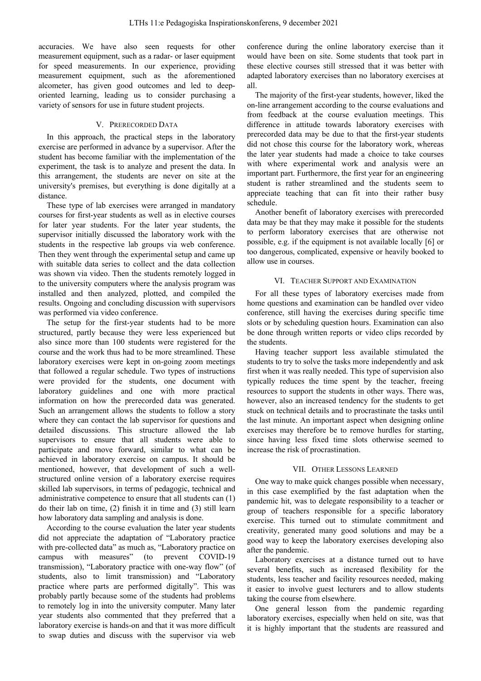accuracies. We have also seen requests for other measurement equipment, such as a radar- or laser equipment for speed measurements. In our experience, providing measurement equipment, such as the aforementioned alcometer, has given good outcomes and led to deeporiented learning, leading us to consider purchasing a variety of sensors for use in future student projects.

## V. PRERECORDED DATA

In this approach, the practical steps in the laboratory exercise are performed in advance by a supervisor. After the student has become familiar with the implementation of the experiment, the task is to analyze and present the data. In this arrangement, the students are never on site at the university's premises, but everything is done digitally at a distance.

These type of lab exercises were arranged in mandatory courses for first-year students as well as in elective courses for later year students. For the later year students, the supervisor initially discussed the laboratory work with the students in the respective lab groups via web conference. Then they went through the experimental setup and came up with suitable data series to collect and the data collection was shown via video. Then the students remotely logged in to the university computers where the analysis program was installed and then analyzed, plotted, and compiled the results. Ongoing and concluding discussion with supervisors was performed via video conference.

The setup for the first-year students had to be more structured, partly because they were less experienced but also since more than 100 students were registered for the course and the work thus had to be more streamlined. These laboratory exercises were kept in on-going zoom meetings that followed a regular schedule. Two types of instructions were provided for the students, one document with laboratory guidelines and one with more practical information on how the prerecorded data was generated. Such an arrangement allows the students to follow a story where they can contact the lab supervisor for questions and detailed discussions. This structure allowed the lab supervisors to ensure that all students were able to participate and move forward, similar to what can be achieved in laboratory exercise on campus. It should be mentioned, however, that development of such a wellstructured online version of a laboratory exercise requires skilled lab supervisors, in terms of pedagogic, technical and administrative competence to ensure that all students can (1) do their lab on time, (2) finish it in time and (3) still learn how laboratory data sampling and analysis is done.

According to the course evaluation the later year students did not appreciate the adaptation of "Laboratory practice with pre-collected data" as much as, "Laboratory practice on campus with measures" (to prevent COVID-19 transmission), "Laboratory practice with one-way flow" (of students, also to limit transmission) and "Laboratory practice where parts are performed digitally". This was probably partly because some of the students had problems to remotely log in into the university computer. Many later year students also commented that they preferred that a laboratory exercise is hands-on and that it was more difficult to swap duties and discuss with the supervisor via web

conference during the online laboratory exercise than it would have been on site. Some students that took part in these elective courses still stressed that it was better with adapted laboratory exercises than no laboratory exercises at all.

The majority of the first-year students, however, liked the on-line arrangement according to the course evaluations and from feedback at the course evaluation meetings. This difference in attitude towards laboratory exercises with prerecorded data may be due to that the first-year students did not chose this course for the laboratory work, whereas the later year students had made a choice to take courses with where experimental work and analysis were an important part. Furthermore, the first year for an engineering student is rather streamlined and the students seem to appreciate teaching that can fit into their rather busy schedule.

Another benefit of laboratory exercises with prerecorded data may be that they may make it possible for the students to perform laboratory exercises that are otherwise not possible, e.g. if the equipment is not available locally [6] or too dangerous, complicated, expensive or heavily booked to allow use in courses.

# VI. TEACHER SUPPORT AND EXAMINATION

For all these types of laboratory exercises made from home questions and examination can be handled over video conference, still having the exercises during specific time slots or by scheduling question hours. Examination can also be done through written reports or video clips recorded by the students.

Having teacher support less available stimulated the students to try to solve the tasks more independently and ask first when it was really needed. This type of supervision also typically reduces the time spent by the teacher, freeing resources to support the students in other ways. There was, however, also an increased tendency for the students to get stuck on technical details and to procrastinate the tasks until the last minute. An important aspect when designing online exercises may therefore be to remove hurdles for starting, since having less fixed time slots otherwise seemed to increase the risk of procrastination.

## VII. OTHER LESSONS LEARNED

One way to make quick changes possible when necessary, in this case exemplified by the fast adaptation when the pandemic hit, was to delegate responsibility to a teacher or group of teachers responsible for a specific laboratory exercise. This turned out to stimulate commitment and creativity, generated many good solutions and may be a good way to keep the laboratory exercises developing also after the pandemic.

Laboratory exercises at a distance turned out to have several benefits, such as increased flexibility for the students, less teacher and facility resources needed, making it easier to involve guest lecturers and to allow students taking the course from elsewhere.

One general lesson from the pandemic regarding laboratory exercises, especially when held on site, was that it is highly important that the students are reassured and